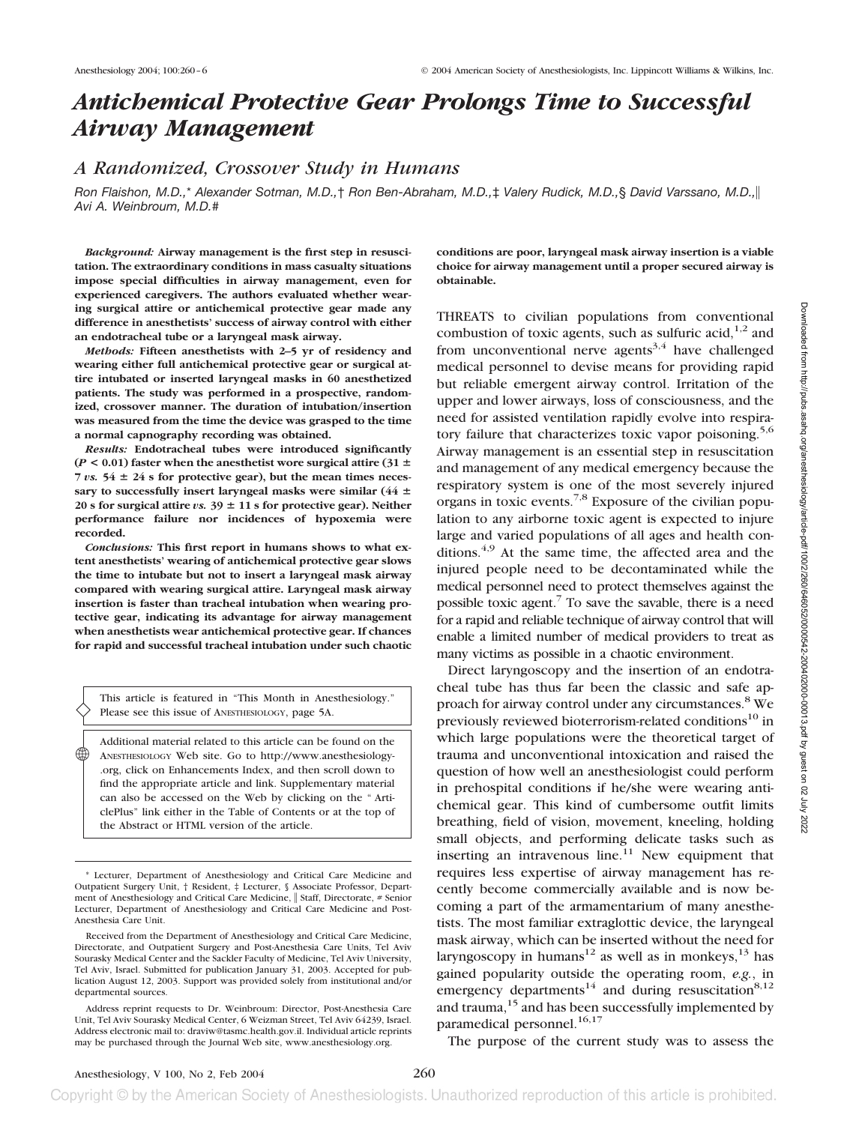# *Antichemical Protective Gear Prolongs Time to Successful Airway Management*

# *A Randomized, Crossover Study in Humans*

*Ron Flaishon, M.D.,*\* *Alexander Sotman, M.D.,*† *Ron Ben-Abraham, M.D.,*‡ *Valery Rudick, M.D.,*§ *David Varssano, M.D., Avi A. Weinbroum, M.D.*#

*Background:* **Airway management is the first step in resuscitation. The extraordinary conditions in mass casualty situations impose special difficulties in airway management, even for experienced caregivers. The authors evaluated whether wearing surgical attire or antichemical protective gear made any difference in anesthetists' success of airway control with either an endotracheal tube or a laryngeal mask airway.**

*Methods:* **Fifteen anesthetists with 2–5 yr of residency and wearing either full antichemical protective gear or surgical attire intubated or inserted laryngeal masks in 60 anesthetized patients. The study was performed in a prospective, randomized, crossover manner. The duration of intubation/insertion was measured from the time the device was grasped to the time a normal capnography recording was obtained.**

*Results:* **Endotracheal tubes were introduced significantly**  $(P < 0.01)$  faster when the anesthetist wore surgical attire  $(31 \pm 1)$ 7  $vs.$  54  $\pm$  24 s for protective gear), but the mean times neces**sary to successfully insert laryngeal masks were similar (44** 20 s for surgical attire *vs.*  $39 \pm 11$  s for protective gear). Neither **performance failure nor incidences of hypoxemia were recorded.**

*Conclusions:* **This first report in humans shows to what extent anesthetists' wearing of antichemical protective gear slows the time to intubate but not to insert a laryngeal mask airway compared with wearing surgical attire. Laryngeal mask airway insertion is faster than tracheal intubation when wearing protective gear, indicating its advantage for airway management when anesthetists wear antichemical protective gear. If chances for rapid and successful tracheal intubation under such chaotic**

This article is featured in "This Month in Anesthesiology." Please see this issue of ANESTHESIOLOGY, page 5A.

Additional material related to this article can be found on the ANESTHESIOLOGY Web site. Go to http://www.anesthesiology- .org, click on Enhancements Index, and then scroll down to find the appropriate article and link. Supplementary material can also be accessed on the Web by clicking on the " ArticlePlus" link either in the Table of Contents or at the top of the Abstract or HTML version of the article. ∰

**conditions are poor, laryngeal mask airway insertion is a viable choice for airway management until a proper secured airway is obtainable.**

THREATS to civilian populations from conventional combustion of toxic agents, such as sulfuric acid, $1,2$  and from unconventional nerve agents<sup>3,4</sup> have challenged medical personnel to devise means for providing rapid but reliable emergent airway control. Irritation of the upper and lower airways, loss of consciousness, and the need for assisted ventilation rapidly evolve into respiratory failure that characterizes toxic vapor poisoning.<sup>5,6</sup> Airway management is an essential step in resuscitation and management of any medical emergency because the respiratory system is one of the most severely injured organs in toxic events.<sup>7,8</sup> Exposure of the civilian population to any airborne toxic agent is expected to injure large and varied populations of all ages and health conditions. $4,9$  At the same time, the affected area and the injured people need to be decontaminated while the medical personnel need to protect themselves against the possible toxic agent.7 To save the savable, there is a need for a rapid and reliable technique of airway control that will enable a limited number of medical providers to treat as many victims as possible in a chaotic environment.

Direct laryngoscopy and the insertion of an endotracheal tube has thus far been the classic and safe approach for airway control under any circumstances.<sup>8</sup> We previously reviewed bioterrorism-related conditions<sup>10</sup> in which large populations were the theoretical target of trauma and unconventional intoxication and raised the question of how well an anesthesiologist could perform in prehospital conditions if he/she were wearing antichemical gear. This kind of cumbersome outfit limits breathing, field of vision, movement, kneeling, holding small objects, and performing delicate tasks such as inserting an intravenous line. $11$  New equipment that requires less expertise of airway management has recently become commercially available and is now becoming a part of the armamentarium of many anesthetists. The most familiar extraglottic device, the laryngeal mask airway, which can be inserted without the need for laryngoscopy in humans<sup>12</sup> as well as in monkeys,<sup>13</sup> has gained popularity outside the operating room, *e.g.*, in emergency departments<sup>14</sup> and during resuscitation<sup>8,12</sup> and trauma, $15$  and has been successfully implemented by paramedical personnel.<sup>16,17</sup>

The purpose of the current study was to assess the

<sup>\*</sup> Lecturer, Department of Anesthesiology and Critical Care Medicine and Outpatient Surgery Unit, † Resident, ‡ Lecturer, § Associate Professor, Department of Anesthesiology and Critical Care Medicine, || Staff, Directorate, # Senior Lecturer, Department of Anesthesiology and Critical Care Medicine and Post-Anesthesia Care Unit.

Received from the Department of Anesthesiology and Critical Care Medicine, Directorate, and Outpatient Surgery and Post-Anesthesia Care Units, Tel Aviv Sourasky Medical Center and the Sackler Faculty of Medicine, Tel Aviv University, Tel Aviv, Israel. Submitted for publication January 31, 2003. Accepted for publication August 12, 2003. Support was provided solely from institutional and/or departmental sources.

Address reprint requests to Dr. Weinbroum: Director, Post-Anesthesia Care Unit, Tel Aviv Sourasky Medical Center, 6 Weizman Street, Tel Aviv 64239, Israel. Address electronic mail to: draviw@tasmc.health.gov.il. Individual article reprints may be purchased through the Journal Web site, www.anesthesiology.org.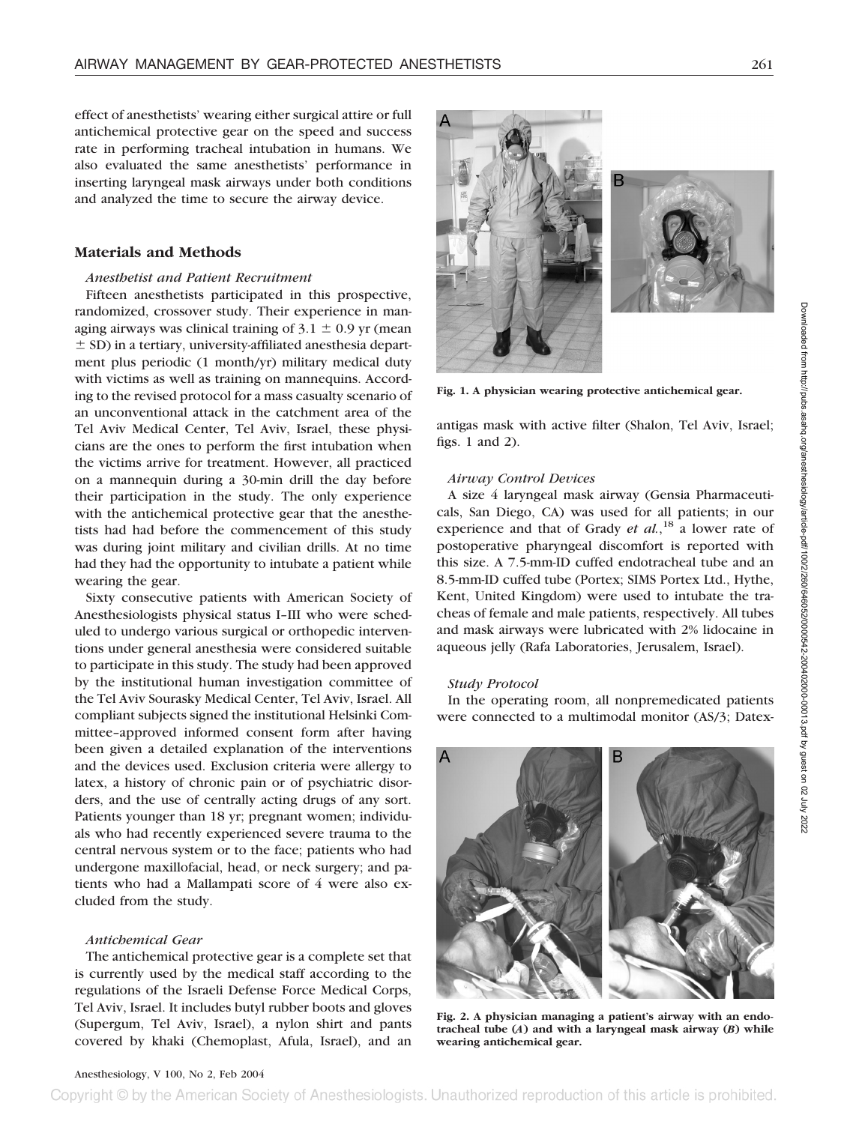effect of anesthetists' wearing either surgical attire or full antichemical protective gear on the speed and success rate in performing tracheal intubation in humans. We also evaluated the same anesthetists' performance in inserting laryngeal mask airways under both conditions and analyzed the time to secure the airway device.

#### **Materials and Methods**

#### *Anesthetist and Patient Recruitment*

Fifteen anesthetists participated in this prospective, randomized, crossover study. Their experience in managing airways was clinical training of  $3.1 \pm 0.9$  yr (mean  $\pm$  SD) in a tertiary, university-affiliated anesthesia department plus periodic (1 month/yr) military medical duty with victims as well as training on mannequins. According to the revised protocol for a mass casualty scenario of an unconventional attack in the catchment area of the Tel Aviv Medical Center, Tel Aviv, Israel, these physicians are the ones to perform the first intubation when the victims arrive for treatment. However, all practiced on a mannequin during a 30-min drill the day before their participation in the study. The only experience with the antichemical protective gear that the anesthetists had had before the commencement of this study was during joint military and civilian drills. At no time had they had the opportunity to intubate a patient while wearing the gear.

Sixty consecutive patients with American Society of Anesthesiologists physical status I–III who were scheduled to undergo various surgical or orthopedic interventions under general anesthesia were considered suitable to participate in this study. The study had been approved by the institutional human investigation committee of the Tel Aviv Sourasky Medical Center, Tel Aviv, Israel. All compliant subjects signed the institutional Helsinki Committee–approved informed consent form after having been given a detailed explanation of the interventions and the devices used. Exclusion criteria were allergy to latex, a history of chronic pain or of psychiatric disorders, and the use of centrally acting drugs of any sort. Patients younger than 18 yr; pregnant women; individuals who had recently experienced severe trauma to the central nervous system or to the face; patients who had undergone maxillofacial, head, or neck surgery; and patients who had a Mallampati score of 4 were also excluded from the study.

#### *Antichemical Gear*

The antichemical protective gear is a complete set that is currently used by the medical staff according to the regulations of the Israeli Defense Force Medical Corps, Tel Aviv, Israel. It includes butyl rubber boots and gloves (Supergum, Tel Aviv, Israel), a nylon shirt and pants covered by khaki (Chemoplast, Afula, Israel), and an



**Fig. 1. A physician wearing protective antichemical gear.**

antigas mask with active filter (Shalon, Tel Aviv, Israel; figs. 1 and 2).

#### *Airway Control Devices*

A size 4 laryngeal mask airway (Gensia Pharmaceuticals, San Diego, CA) was used for all patients; in our experience and that of Grady *et al.*<sup>18</sup> a lower rate of postoperative pharyngeal discomfort is reported with this size. A 7.5-mm-ID cuffed endotracheal tube and an 8.5-mm-ID cuffed tube (Portex; SIMS Portex Ltd., Hythe, Kent, United Kingdom) were used to intubate the tracheas of female and male patients, respectively. All tubes and mask airways were lubricated with 2% lidocaine in aqueous jelly (Rafa Laboratories, Jerusalem, Israel).

#### *Study Protocol*

In the operating room, all nonpremedicated patients were connected to a multimodal monitor (AS/3; Datex-



**Fig. 2. A physician managing a patient's airway with an endotracheal tube (***A***) and with a laryngeal mask airway (***B***) while wearing antichemical gear.**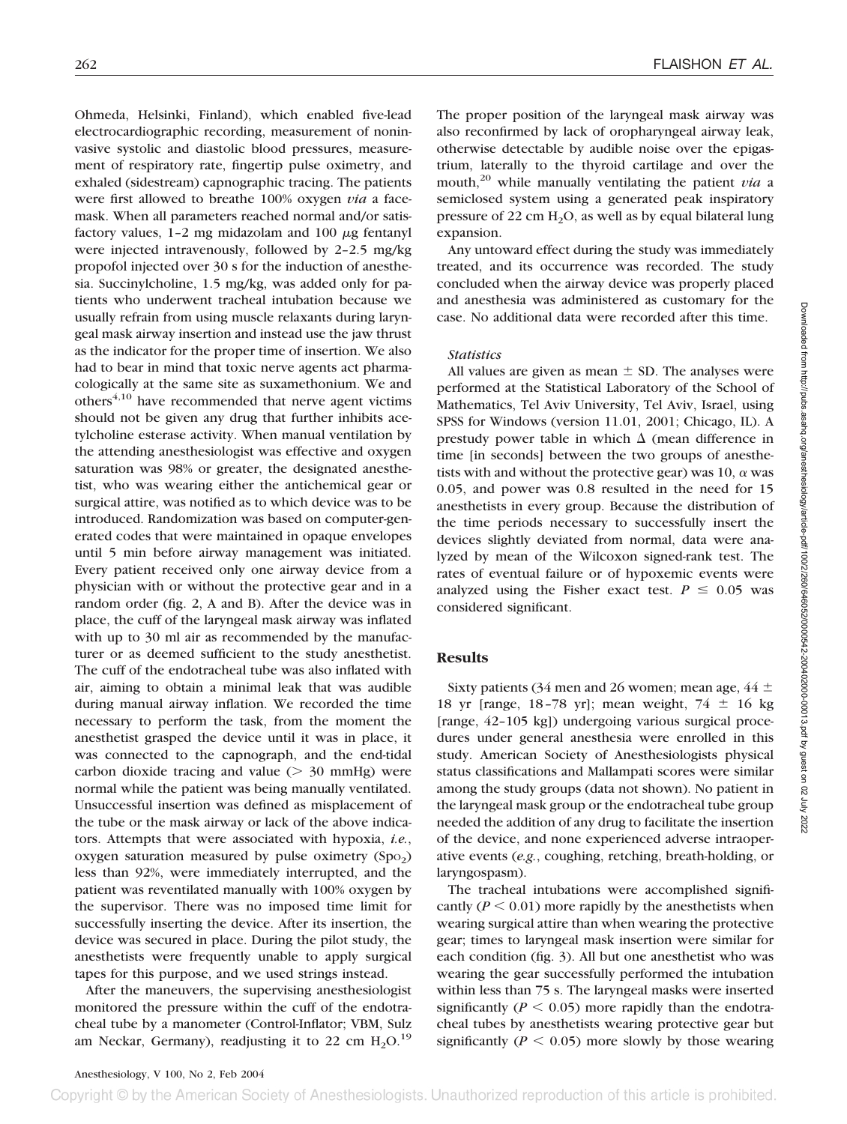Ohmeda, Helsinki, Finland), which enabled five-lead electrocardiographic recording, measurement of noninvasive systolic and diastolic blood pressures, measurement of respiratory rate, fingertip pulse oximetry, and exhaled (sidestream) capnographic tracing. The patients were first allowed to breathe 100% oxygen *via* a facemask. When all parameters reached normal and/or satisfactory values,  $1-2$  mg midazolam and  $100 \mu$ g fentanyl were injected intravenously, followed by 2–2.5 mg/kg propofol injected over 30 s for the induction of anesthesia. Succinylcholine, 1.5 mg/kg, was added only for patients who underwent tracheal intubation because we usually refrain from using muscle relaxants during laryngeal mask airway insertion and instead use the jaw thrust as the indicator for the proper time of insertion. We also had to bear in mind that toxic nerve agents act pharmacologically at the same site as suxamethonium. We and others $4,10$  have recommended that nerve agent victims should not be given any drug that further inhibits acetylcholine esterase activity. When manual ventilation by the attending anesthesiologist was effective and oxygen saturation was 98% or greater, the designated anesthetist, who was wearing either the antichemical gear or surgical attire, was notified as to which device was to be introduced. Randomization was based on computer-generated codes that were maintained in opaque envelopes until 5 min before airway management was initiated. Every patient received only one airway device from a physician with or without the protective gear and in a random order (fig. 2, A and B). After the device was in place, the cuff of the laryngeal mask airway was inflated with up to 30 ml air as recommended by the manufacturer or as deemed sufficient to the study anesthetist. The cuff of the endotracheal tube was also inflated with air, aiming to obtain a minimal leak that was audible during manual airway inflation. We recorded the time necessary to perform the task, from the moment the anesthetist grasped the device until it was in place, it was connected to the capnograph, and the end-tidal carbon dioxide tracing and value  $(> 30 \text{ mmHg})$  were normal while the patient was being manually ventilated. Unsuccessful insertion was defined as misplacement of the tube or the mask airway or lack of the above indicators. Attempts that were associated with hypoxia, *i.e.*, oxygen saturation measured by pulse oximetry  $(Spo<sub>2</sub>)$ less than 92%, were immediately interrupted, and the patient was reventilated manually with 100% oxygen by the supervisor. There was no imposed time limit for successfully inserting the device. After its insertion, the device was secured in place. During the pilot study, the anesthetists were frequently unable to apply surgical tapes for this purpose, and we used strings instead.

After the maneuvers, the supervising anesthesiologist monitored the pressure within the cuff of the endotracheal tube by a manometer (Control-Inflator; VBM, Sulz am Neckar, Germany), readjusting it to 22 cm  $H_2O$ .<sup>19</sup>

The proper position of the laryngeal mask airway was also reconfirmed by lack of oropharyngeal airway leak, otherwise detectable by audible noise over the epigastrium, laterally to the thyroid cartilage and over the mouth,20 while manually ventilating the patient *via* a semiclosed system using a generated peak inspiratory pressure of 22 cm  $H_2O$ , as well as by equal bilateral lung expansion.

Any untoward effect during the study was immediately treated, and its occurrence was recorded. The study concluded when the airway device was properly placed and anesthesia was administered as customary for the case. No additional data were recorded after this time.

#### *Statistics*

All values are given as mean  $\pm$  SD. The analyses were performed at the Statistical Laboratory of the School of Mathematics, Tel Aviv University, Tel Aviv, Israel, using SPSS for Windows (version 11.01, 2001; Chicago, IL). A prestudy power table in which  $\Delta$  (mean difference in time [in seconds] between the two groups of anesthetists with and without the protective gear) was  $10$ ,  $\alpha$  was 0.05, and power was 0.8 resulted in the need for 15 anesthetists in every group. Because the distribution of the time periods necessary to successfully insert the devices slightly deviated from normal, data were analyzed by mean of the Wilcoxon signed-rank test. The rates of eventual failure or of hypoxemic events were analyzed using the Fisher exact test.  $P \leq 0.05$  was considered significant.

#### **Results**

Sixty patients (34 men and 26 women; mean age,  $44 \pm$ 18 yr [range, 18–78 yr]; mean weight,  $74 \pm 16$  kg [range, 42–105 kg]) undergoing various surgical procedures under general anesthesia were enrolled in this study. American Society of Anesthesiologists physical status classifications and Mallampati scores were similar among the study groups (data not shown). No patient in the laryngeal mask group or the endotracheal tube group needed the addition of any drug to facilitate the insertion of the device, and none experienced adverse intraoperative events (*e.g.*, coughing, retching, breath-holding, or laryngospasm).

The tracheal intubations were accomplished significantly  $(P \le 0.01)$  more rapidly by the anesthetists when wearing surgical attire than when wearing the protective gear; times to laryngeal mask insertion were similar for each condition (fig. 3). All but one anesthetist who was wearing the gear successfully performed the intubation within less than 75 s. The laryngeal masks were inserted significantly ( $P < 0.05$ ) more rapidly than the endotracheal tubes by anesthetists wearing protective gear but significantly ( $P \leq 0.05$ ) more slowly by those wearing

Copyright © by the American Society of Anesthesiologists. Unauthorized reproduction of this article is prohibited.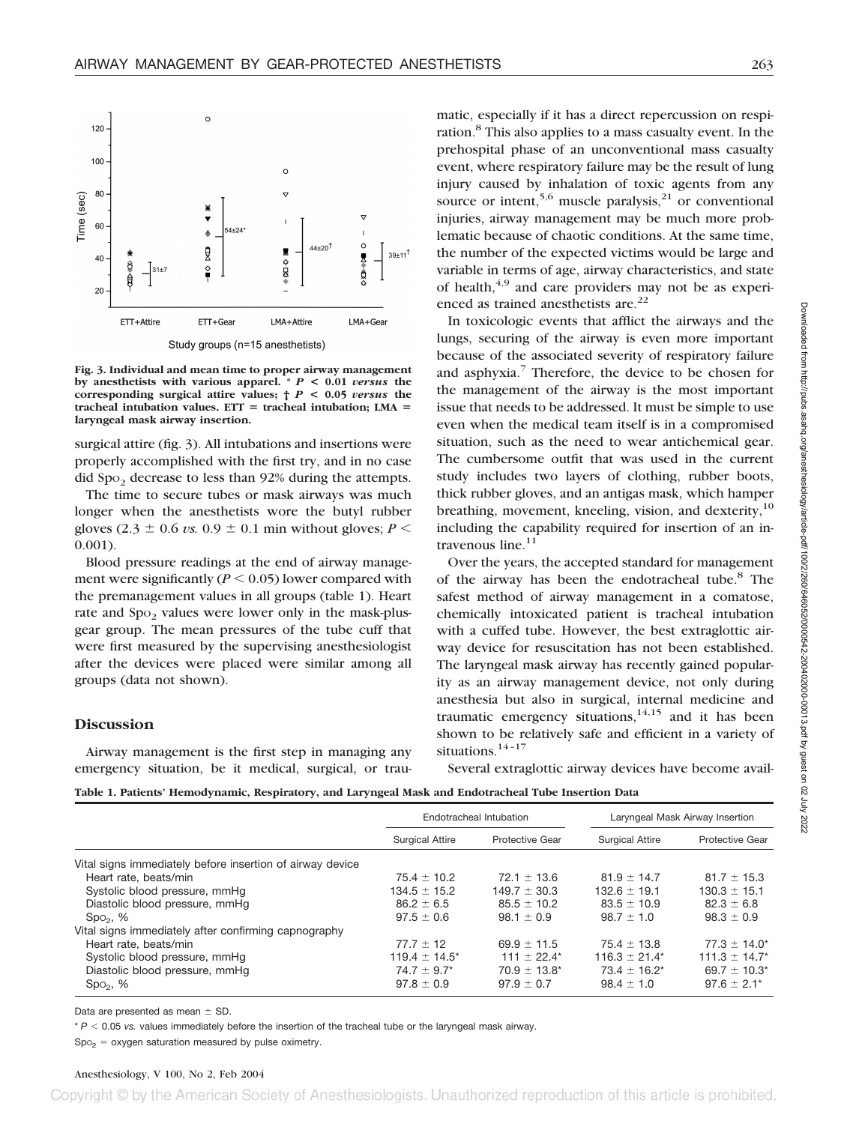

**Fig. 3. Individual and mean time to proper airway management by anesthetists with various apparel. \*** *P* **< 0.01** *versus* **the corresponding surgical attire values; †** *P* **< 0.05** *versus* **the** tracheal intubation values. ETT = tracheal intubation; LMA = **laryngeal mask airway insertion.**

surgical attire (fig. 3). All intubations and insertions were properly accomplished with the first try, and in no case did Spo<sub>2</sub> decrease to less than 92% during the attempts.

The time to secure tubes or mask airways was much longer when the anesthetists wore the butyl rubber gloves (2.3  $\pm$  0.6 *vs.* 0.9  $\pm$  0.1 min without gloves; *P* < 0.001).

Blood pressure readings at the end of airway management were significantly  $(P < 0.05)$  lower compared with the premanagement values in all groups (table 1). Heart rate and  $Spo<sub>2</sub>$  values were lower only in the mask-plusgear group. The mean pressures of the tube cuff that were first measured by the supervising anesthesiologist after the devices were placed were similar among all groups (data not shown).

## **Discussion**

Airway management is the first step in managing any emergency situation, be it medical, surgical, or trau-

matic, especially if it has a direct repercussion on respiration.<sup>8</sup> This also applies to a mass casualty event. In the prehospital phase of an unconventional mass casualty event, where respiratory failure may be the result of lung injury caused by inhalation of toxic agents from any source or intent,<sup>5,6</sup> muscle paralysis,<sup>21</sup> or conventional injuries, airway management may be much more problematic because of chaotic conditions. At the same time, the number of the expected victims would be large and variable in terms of age, airway characteristics, and state of health, $4,9$  and care providers may not be as experienced as trained anesthetists are.<sup>22</sup>

In toxicologic events that afflict the airways and the lungs, securing of the airway is even more important because of the associated severity of respiratory failure and asphyxia.<sup>7</sup> Therefore, the device to be chosen for the management of the airway is the most important issue that needs to be addressed. It must be simple to use even when the medical team itself is in a compromised situation, such as the need to wear antichemical gear. The cumbersome outfit that was used in the current study includes two layers of clothing, rubber boots, thick rubber gloves, and an antigas mask, which hamper breathing, movement, kneeling, vision, and dexterity,<sup>10</sup> including the capability required for insertion of an intravenous line.<sup>11</sup>

Over the years, the accepted standard for management of the airway has been the endotracheal tube.<sup>8</sup> The safest method of airway management in a comatose, chemically intoxicated patient is tracheal intubation with a cuffed tube. However, the best extraglottic airway device for resuscitation has not been established. The laryngeal mask airway has recently gained popularity as an airway management device, not only during anesthesia but also in surgical, internal medicine and traumatic emergency situations,  $14,15$  and it has been shown to be relatively safe and efficient in a variety of situations.<sup>14-17</sup>

Several extraglottic airway devices have become avail-

|  |  |  |  |  |  | Table 1. Patients' Hemodynamic, Respiratory, and Laryngeal Mask and Endotracheal Tube Insertion Data |
|--|--|--|--|--|--|------------------------------------------------------------------------------------------------------|
|--|--|--|--|--|--|------------------------------------------------------------------------------------------------------|

|                                                           | Endotracheal Intubation |                        | Laryngeal Mask Airway Insertion |                        |  |
|-----------------------------------------------------------|-------------------------|------------------------|---------------------------------|------------------------|--|
|                                                           | <b>Surgical Attire</b>  | <b>Protective Gear</b> | <b>Surgical Attire</b>          | <b>Protective Gear</b> |  |
| Vital signs immediately before insertion of airway device |                         |                        |                                 |                        |  |
| Heart rate, beats/min                                     | $75.4 \pm 10.2$         | $72.1 \pm 13.6$        | $81.9 \pm 14.7$                 | $81.7 \pm 15.3$        |  |
| Systolic blood pressure, mmHg                             | $134.5 \pm 15.2$        | $149.7 \pm 30.3$       | $132.6 \pm 19.1$                | $130.3 \pm 15.1$       |  |
| Diastolic blood pressure, mmHq                            | $86.2 \pm 6.5$          | $85.5 \pm 10.2$        | $83.5 \pm 10.9$                 | $82.3 \pm 6.8$         |  |
| $Spo2$ , %                                                | $97.5 \pm 0.6$          | $98.1 \pm 0.9$         | $98.7 \pm 1.0$                  | $98.3 \pm 0.9$         |  |
| Vital signs immediately after confirming capnography      |                         |                        |                                 |                        |  |
| Heart rate, beats/min                                     | $77.7 \pm 12$           | $69.9 \pm 11.5$        | $75.4 \pm 13.8$                 | $77.3 \pm 14.0^*$      |  |
| Systolic blood pressure, mmHg                             | $119.4 \pm 14.5^*$      | $111 \pm 22.4^*$       | $116.3 \pm 21.4^*$              | $111.3 \pm 14.7^*$     |  |
| Diastolic blood pressure, mmHg                            | $74.7 \pm 9.7^*$        | $70.9 \pm 13.8^*$      | $73.4 \pm 16.2^*$               | 69.7 $\pm$ 10.3*       |  |
| $Spo2$ , %                                                | $97.8 \pm 0.9$          | $97.9 \pm 0.7$         | $98.4 \pm 1.0$                  | $97.6 \pm 2.1^*$       |  |

Data are presented as mean  $\pm$  SD.

\* *P* 0.05 *vs.* values immediately before the insertion of the tracheal tube or the laryngeal mask airway.

 $Spo<sub>2</sub> = oxygen saturation measured by pulse oximetry.$ 

#### Anesthesiology, V 100, No 2, Feb 2004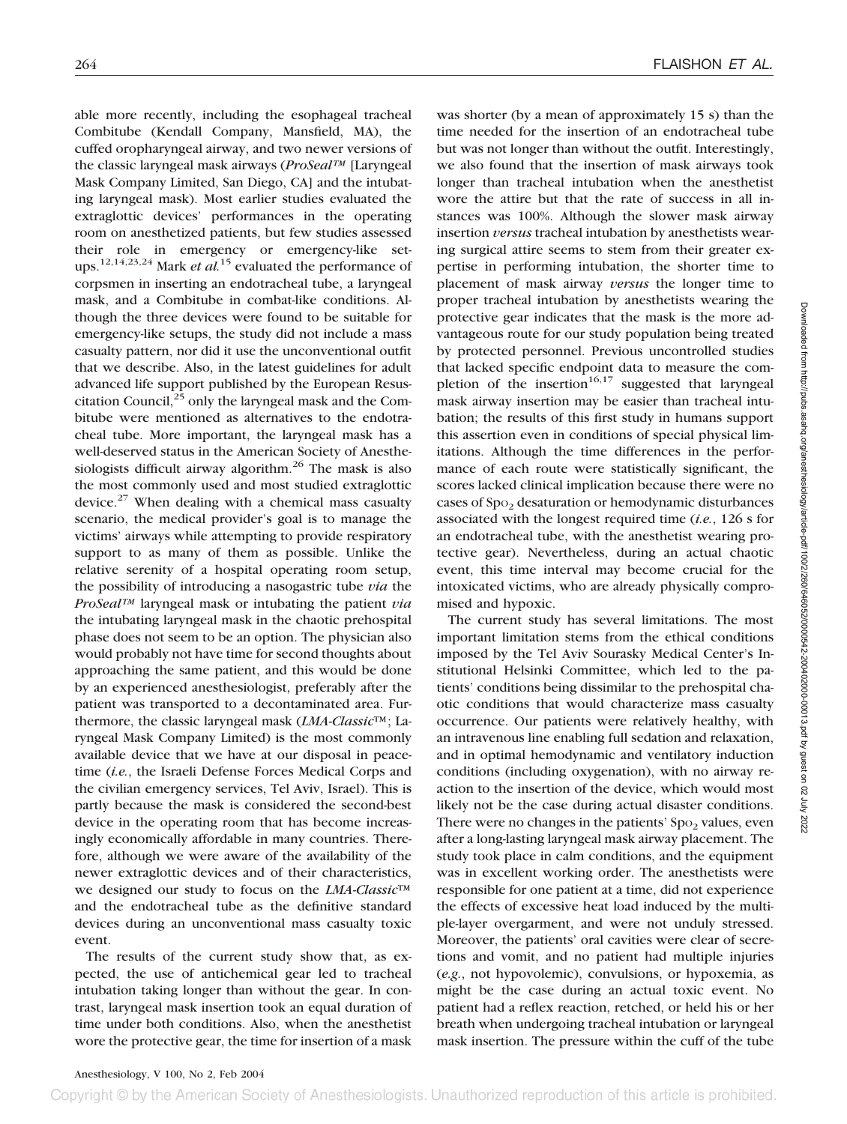able more recently, including the esophageal tracheal Combitube (Kendall Company, Mansfield, MA), the cuffed oropharyngeal airway, and two newer versions of the classic laryngeal mask airways (*ProSeal™* [Laryngeal Mask Company Limited, San Diego, CA] and the intubating laryngeal mask). Most earlier studies evaluated the extraglottic devices' performances in the operating room on anesthetized patients, but few studies assessed their role in emergency or emergency-like setups.12,14,23,24 Mark *et al.*<sup>15</sup> evaluated the performance of corpsmen in inserting an endotracheal tube, a laryngeal mask, and a Combitube in combat-like conditions. Although the three devices were found to be suitable for emergency-like setups, the study did not include a mass casualty pattern, nor did it use the unconventional outfit that we describe. Also, in the latest guidelines for adult advanced life support published by the European Resuscitation Council, $^{25}$  only the laryngeal mask and the Combitube were mentioned as alternatives to the endotracheal tube. More important, the laryngeal mask has a well-deserved status in the American Society of Anesthesiologists difficult airway algorithm. $26$  The mask is also the most commonly used and most studied extraglottic device.<sup>27</sup> When dealing with a chemical mass casualty scenario, the medical provider's goal is to manage the victims' airways while attempting to provide respiratory support to as many of them as possible. Unlike the relative serenity of a hospital operating room setup, the possibility of introducing a nasogastric tube *via* the *ProSeal™* laryngeal mask or intubating the patient *via* the intubating laryngeal mask in the chaotic prehospital phase does not seem to be an option. The physician also would probably not have time for second thoughts about approaching the same patient, and this would be done by an experienced anesthesiologist, preferably after the patient was transported to a decontaminated area. Furthermore, the classic laryngeal mask (*LMA-Classic*™; Laryngeal Mask Company Limited) is the most commonly available device that we have at our disposal in peacetime (*i.e.*, the Israeli Defense Forces Medical Corps and the civilian emergency services, Tel Aviv, Israel). This is partly because the mask is considered the second-best device in the operating room that has become increasingly economically affordable in many countries. Therefore, although we were aware of the availability of the newer extraglottic devices and of their characteristics, we designed our study to focus on the *LMA-Classic*™ and the endotracheal tube as the definitive standard devices during an unconventional mass casualty toxic event.

The results of the current study show that, as expected, the use of antichemical gear led to tracheal intubation taking longer than without the gear. In contrast, laryngeal mask insertion took an equal duration of time under both conditions. Also, when the anesthetist wore the protective gear, the time for insertion of a mask

was shorter (by a mean of approximately 15 s) than the time needed for the insertion of an endotracheal tube but was not longer than without the outfit. Interestingly, we also found that the insertion of mask airways took longer than tracheal intubation when the anesthetist wore the attire but that the rate of success in all instances was 100%. Although the slower mask airway insertion *versus* tracheal intubation by anesthetists wearing surgical attire seems to stem from their greater expertise in performing intubation, the shorter time to placement of mask airway *versus* the longer time to proper tracheal intubation by anesthetists wearing the protective gear indicates that the mask is the more advantageous route for our study population being treated by protected personnel. Previous uncontrolled studies that lacked specific endpoint data to measure the completion of the insertion<sup>16,17</sup> suggested that laryngeal mask airway insertion may be easier than tracheal intubation; the results of this first study in humans support this assertion even in conditions of special physical limitations. Although the time differences in the performance of each route were statistically significant, the scores lacked clinical implication because there were no cases of Spo<sub>2</sub> desaturation or hemodynamic disturbances associated with the longest required time (*i.e.*, 126 s for an endotracheal tube, with the anesthetist wearing protective gear). Nevertheless, during an actual chaotic event, this time interval may become crucial for the intoxicated victims, who are already physically compromised and hypoxic.

The current study has several limitations. The most important limitation stems from the ethical conditions imposed by the Tel Aviv Sourasky Medical Center's Institutional Helsinki Committee, which led to the patients' conditions being dissimilar to the prehospital chaotic conditions that would characterize mass casualty occurrence. Our patients were relatively healthy, with an intravenous line enabling full sedation and relaxation, and in optimal hemodynamic and ventilatory induction conditions (including oxygenation), with no airway reaction to the insertion of the device, which would most likely not be the case during actual disaster conditions. There were no changes in the patients' Spo<sub>2</sub> values, even after a long-lasting laryngeal mask airway placement. The study took place in calm conditions, and the equipment was in excellent working order. The anesthetists were responsible for one patient at a time, did not experience the effects of excessive heat load induced by the multiple-layer overgarment, and were not unduly stressed. Moreover, the patients' oral cavities were clear of secretions and vomit, and no patient had multiple injuries (*e.g.*, not hypovolemic), convulsions, or hypoxemia, as might be the case during an actual toxic event. No patient had a reflex reaction, retched, or held his or her breath when undergoing tracheal intubation or laryngeal mask insertion. The pressure within the cuff of the tube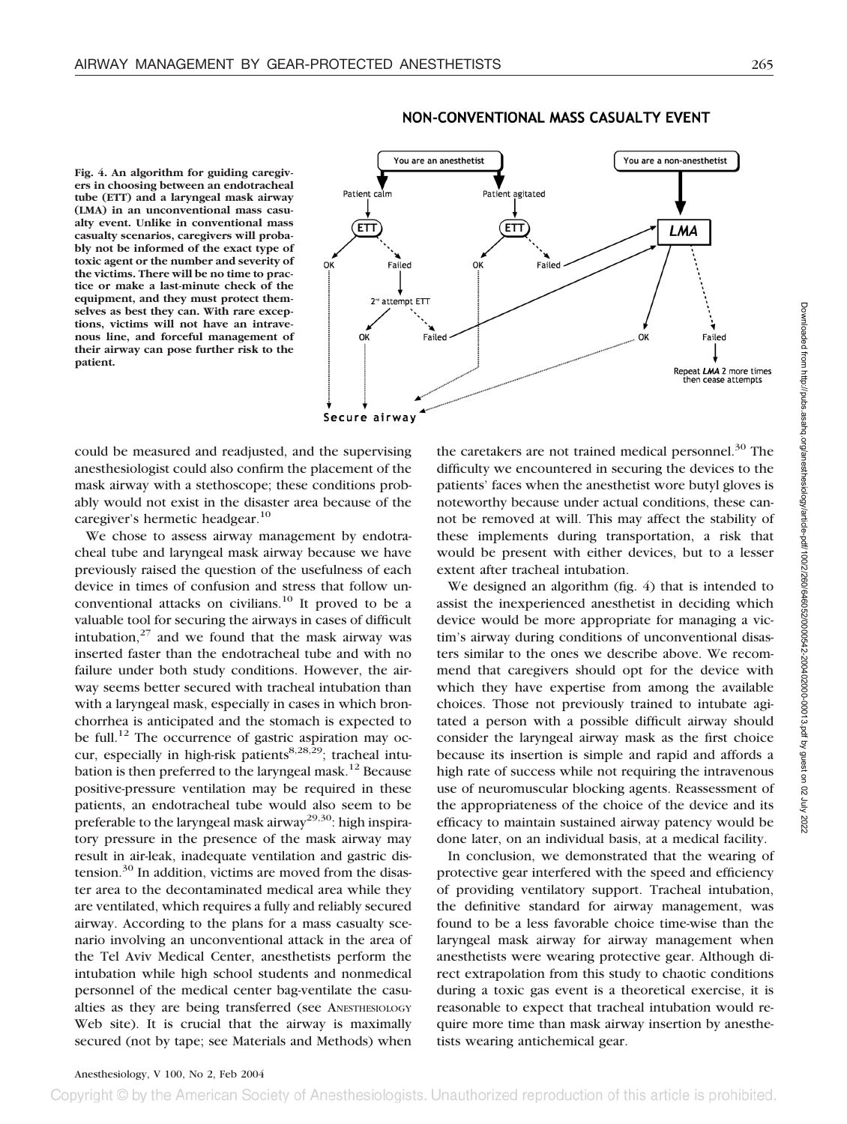## NON-CONVENTIONAL MASS CASUALTY EVENT





could be measured and readjusted, and the supervising anesthesiologist could also confirm the placement of the mask airway with a stethoscope; these conditions probably would not exist in the disaster area because of the caregiver's hermetic headgear.<sup>10</sup>

We chose to assess airway management by endotracheal tube and laryngeal mask airway because we have previously raised the question of the usefulness of each device in times of confusion and stress that follow unconventional attacks on civilians.10 It proved to be a valuable tool for securing the airways in cases of difficult intubation, $27$  and we found that the mask airway was inserted faster than the endotracheal tube and with no failure under both study conditions. However, the airway seems better secured with tracheal intubation than with a laryngeal mask, especially in cases in which bronchorrhea is anticipated and the stomach is expected to be full.<sup>12</sup> The occurrence of gastric aspiration may occur, especially in high-risk patients<sup>8,28,29</sup>; tracheal intubation is then preferred to the laryngeal mask.<sup>12</sup> Because positive-pressure ventilation may be required in these patients, an endotracheal tube would also seem to be preferable to the laryngeal mask airway<sup>29,30</sup>: high inspiratory pressure in the presence of the mask airway may result in air-leak, inadequate ventilation and gastric distension.<sup>30</sup> In addition, victims are moved from the disaster area to the decontaminated medical area while they are ventilated, which requires a fully and reliably secured airway. According to the plans for a mass casualty scenario involving an unconventional attack in the area of the Tel Aviv Medical Center, anesthetists perform the intubation while high school students and nonmedical personnel of the medical center bag-ventilate the casualties as they are being transferred (see ANESTHESIOLOGY Web site). It is crucial that the airway is maximally secured (not by tape; see Materials and Methods) when

the caretakers are not trained medical personnel.<sup>30</sup> The difficulty we encountered in securing the devices to the patients' faces when the anesthetist wore butyl gloves is noteworthy because under actual conditions, these cannot be removed at will. This may affect the stability of these implements during transportation, a risk that would be present with either devices, but to a lesser extent after tracheal intubation.

We designed an algorithm (fig. 4) that is intended to assist the inexperienced anesthetist in deciding which device would be more appropriate for managing a victim's airway during conditions of unconventional disasters similar to the ones we describe above. We recommend that caregivers should opt for the device with which they have expertise from among the available choices. Those not previously trained to intubate agitated a person with a possible difficult airway should consider the laryngeal airway mask as the first choice because its insertion is simple and rapid and affords a high rate of success while not requiring the intravenous use of neuromuscular blocking agents. Reassessment of the appropriateness of the choice of the device and its efficacy to maintain sustained airway patency would be done later, on an individual basis, at a medical facility.

In conclusion, we demonstrated that the wearing of protective gear interfered with the speed and efficiency of providing ventilatory support. Tracheal intubation, the definitive standard for airway management, was found to be a less favorable choice time-wise than the laryngeal mask airway for airway management when anesthetists were wearing protective gear. Although direct extrapolation from this study to chaotic conditions during a toxic gas event is a theoretical exercise, it is reasonable to expect that tracheal intubation would require more time than mask airway insertion by anesthetists wearing antichemical gear.